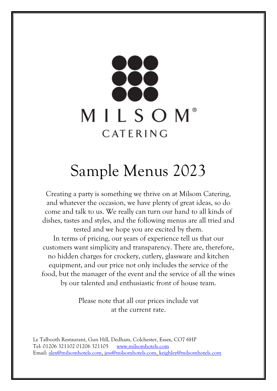

# Sample Menus 2023

Creating a party is something we thrive on at Milsom Catering, and whatever the occasion, we have plenty of great ideas, so do come and talk to us. We really can turn our hand to all kinds of dishes, tastes and styles, and the following menus are all tried and tested and we hope you are excited by them. In terms of pricing, our years of experience tell us that our customers want simplicity and transparency. There are, therefore, no hidden charges for crockery, cutlery, glassware and kitchen equipment, and our price not only includes the service of the food, but the manager of the event and the service of all the wines by our talented and enthusiastic front of house team.

> Please note that all our prices include vat at the current rate.

Le Talbooth Restaurant, Gun Hill, Dedham, Colchester, Essex, CO7 6HP Tel: 01206 321102 01206 321105 [www.milsomhotels.com](http://www.milsomhotels.com/) Email: [alex@milsomhotels.com,](mailto:alex@milsomhotels.com) [jess@milsomhotels.com,](mailto:jess@milsomhotels.com) [keighley@milsomhotels.com](mailto:keighley@milsomhotels.com)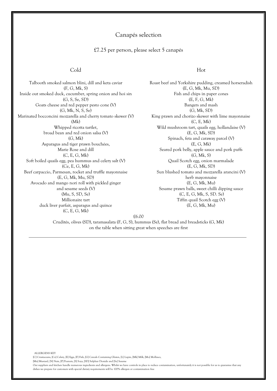## Canapés selection

#### £7.25 per person, please select 5 canapés

#### Cold Hot

Talbooth smoked salmon blini, dill and keta caviar (F, G, Mk, S) Inside out smoked duck, cucumber, spring onion and hoi sin (G, S, Se, SD) Goats cheese and red pepper pesto cone (V) (G, Mk, N, S, Se) Marinated bocconcini mozzarella and cherry tomato skewer (V) (Mk) Whipped ricotta tartlet, broad bean and red onion salsa (V) (G, Mk) Asparagus and tiger prawn bouchées, Marie Rose and dill (C, E, G, Mk) Soft boiled quails egg, pea hummus and celery salt (V) (Ce, E, G, Mk) Beef carpaccio, Parmesan, rocket and truffle mayonnaise (E, G, Mk, Mu, SD) Avocado and mango nori roll with pickled ginger and sesame seeds (V) (Mu, S, SD, Se) Millionaire tart duck liver parfait, asparagus and quince (C, E, G, Mk)

Roast beef and Yorkshire pudding, creamed horseradish (E, G, Mk, Mu, SD) Fish and chips in paper cones (E, F, G, Mk) Bangers and mash (G, Mk, SD) King prawn and chorizo skewer with lime mayonnaise (C, E, Mk) Wild mushroom tart, quails egg, hollandaise (V) (E, G, Mk, SD) Spinach, feta and caraway parcel (V) (E, G, Mk) Seared pork belly, apple sauce and pork puffs (G, Mk, S) Quail Scotch egg, onion marmalade (E, G, Mk, SD) Sun blushed tomato and mozzarella arancini (V) herb mayonnaise (E, G, Mk, Mu) Sesame prawn balls, sweet chilli dipping sauce (C, E, G, Mk, S, SD. Se) Tiffin quail Scotch egg (V) (E, G, Mk, Mu)

£6.00

Crudités, olives (SD), taramasalata (F, G, S), hummus (Se), flat bread and breadsticks (G, Mk) on the table when sitting great when speeches are first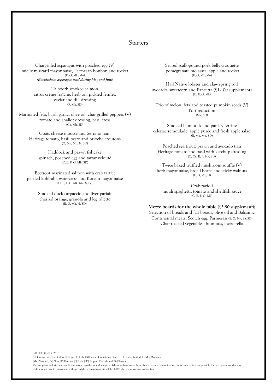#### Starters

Chargrilled asparagus with poached egg (V) mieux mustard mayonnaise, Parmesan bonbon and rocket (E, G, Mk, Mu) **(Bucklesham asparagus used during May and June)**

> Talbooth smoked salmon citrus créme fraîche, herb oil, pickled fennel, caviar and dill dressing (F, Mk, SD)

Marinated feta, basil, garlic, olive oil, char grilled peppers (V) tomato and shallot dressing, basil cress (Ce, Mk, SD)

Goats cheese mousse and Serrano ham Heritage tomato, basil pesto and brioche croutons (G, Mk, Mu, N, SD)

Haddock and prawn fishcake spinach, poached egg and tartar velouté (C, E, F, G, Mk, SD)

Beetroot marinated salmon with crab tartlet pickled kohlrabi, watercress and Korean mayonnaise (C, E, F, G, Mk, Mu, S, Se)

> Smoked duck carpaccio and liver parfait charred orange, granola and leg rillette (E, G, Mk, N, SD)

ALLERGENS KEY

Seared scallops and pork belly croquette pomegranate molasses, apple and rocket (E, G, Mk, Mo)

Half Native lobster and claw spring roll avocado, sweetcorn and Pancetta (£12.00 supplement) (C, E, G, Mk)

Trio of melon, feta and toasted pumpkin seeds (V) Port reduction (Mk, SD)

Smoked ham hock and parsley terrine celeriac remoulade, apple purée and fresh apple salad (E, Mk, Mu, SD)

Poached sea trout, prawn and avocado tian Heritage tomato and basil with ketchup dressing (C, Ce, E, F, Mk, SD)

Twice baked truffled mushroom soufflé (V) herb mayonnaise, broad beans and sticky walnuts (E, G, Mk, N)

Crab ravioli mouli spaghetti, tomato and shellfish sauce  $(C, E, F, G, Mk)$ 

#### **Mezze boards for the whole table (£3.50 supplement);**

Selection of breads and flat breads, olive oil and Balsamic Continental meats, Scotch egg, Parmesan (E, G, Mk, Se, SD) Char-roasted vegetables, hummus, mozzarella

[C] Crustaceans, [Ce] Celery, [E] Eggs, [F] Fish, [G] Cereals Containing Gluten, [L] Lupin, [Mk] Milk, [Mo] Molluscs, [Mu] Mustard, [N] Nuts, [P] Peanuts, [S] Soya, [SD] Sulphur Dioxide and [Se] Sesame Our suppliers and kitchen handle numerous ingredients and allergens. Whilst we have controls in place to reduce contamination, unfortunately it is not possible for us to guarantee that any

dishes we prepare for customers with special dietary requirements will be 100% allergen or contamination free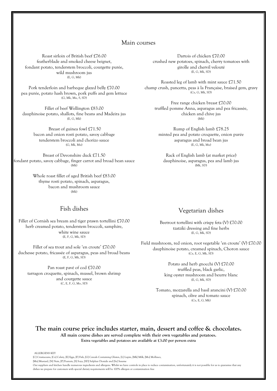## Main courses

Roast sirloin of British beef £76.00 featherblade and smoked cheese beignet, fondant potato, tenderstem broccoli, courgette purée, wild mushroom jus (E, G, Mk)

Pork tenderloin and barbeque glazed belly £70.00 pea purée, potato hash brown, pork puffs and gem lettuce (G, Mk, Mu, S, SD)

Fillet of beef Wellington £83.00 dauphinoise potato, shallots, fine beans and Madeira jus (E, G, Mk)

> Breast of guinea fowl £71.50 bacon and onion rosti potato, savoy cabbage tenderstem broccoli and chorizo sauce (G, Mk, Mu)

Breast of Devonshire duck £71.50 fondant potato, savoy cabbage, finger carrot and broad bean sauce  $(Mk)$ 

> Whole roast fillet of aged British beef £83.00 thyme rosti potato, spinach, asparagus, bacon and mushroom sauce  $(Mk)$

## Fish dishes

Fillet of Cornish sea bream and tiger prawn tortellini £70.00 herb creamed potato, tenderstem broccoli, samphire, white wine sauce (E, F, G, Mk, SD)

Fillet of sea trout and sole 'en croute' £70.00 duchesse potato, fricassée of asparagus, peas and broad beans (E, F, G, Mk, SD)

Pan roast pavé of cod £70.00 tarragon croquette, spinach, mussel, brown shrimp and courgette sauce (C, E, F, G, Mo, SD)

Dartois of chicken £70.00 crushed new potatoes, spinach, cherry tomatoes with girolle and chervil velouté (E, G, Mk, SD)

Roasted leg of lamb with mint sauce £71.50 champ crush, pancetta, peas à la Française, braised gem, gravy (Ce, G, Mk, SD)

Free range chicken breast £70.00 truffled pomme Anna, asparagus and pea fricassée, chicken and chive jus (Mk)

Rump of English lamb £78.25 minted pea and potato croquette, onion purée asparagus and broad bean jus (E, G, Mk, Mu)

Rack of English lamb (at market price) dauphinoise, asparagus, pea and lamb jus  $(Mk, SD)$ 

## Vegetarian dishes

Beetroot tortellini with crispy feta (V) £70.00 tzatziki dressing and fine herbs (E, G, Mk, SD)

Field mushroom, red onion, root vegetable 'en croute' (V) £70.00 dauphinoise potato, creamed spinach, Choron sauce (Ce, E, G, Mk, SD)

> Potato and herb gnocchi (V) £70.00 truffled peas, black garlic, king oyster mushroom and beurre blanc  $(E, G, Mk, SD)$

Tomato, mozzarella and basil arancini (V) £70.00 spinach, olive and tomato sauce (Ce, E, G, Mk)

## **The main course price includes starter, main, dessert and coffee & chocolates. All main course dishes are served complete with their own vegetables and potatoes.**

**Extra vegetables and potatoes are available at £3.00 per person extra**

ALLERGENS KEY

[C] Crustaceans, [Ce] Celery, [E] Eggs, [F] Fish, [G] Cereals Containing Gluten, [L] Lupin, [Mk] Milk, [Mo] Molluscs,

<sup>[</sup>Mu] Mustard, [N] Nuts, [P] Peanuts, [S] Soya, [SD] Sulphur Dioxide and [Se] Sesame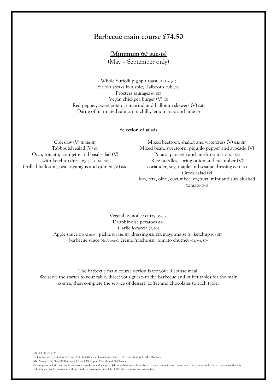## **Barbecue main course £74.50**

**(Minimum 60 guests)**

(May – September only)

Whole Suffolk pig spit roast (No Allergen) Sirloin steaks in a spicy Talbooth rub (Ce) Procters sausages (G, SD) Vegan chickpea burger (V) (G) Red pepper, sweet potato, tamarind and halloumi skewers (V) (Mk) Darné of marinated salmon in chilli, lemon grass and lime (F)

#### **Selection of salads**

Coleslaw (V) (E, Mu, SD) Tabbouleh salad (V) (G) Orzo, tomato, courgette and basil salad (V) with ketchup dressing (Ce, G, Mu, SD) Grilled halloumi, pea, asparagus and quinoa (V) (Mk)

Mixed beetroot, shallot and watercress (V) (Mu, SD) Mixed bean, sweetcorn, piquillo pepper and avocado (V) Potato, pancetta and mushroom (E, G, Mu, SD) Rice noodles, spring onion and cucumber (V) coriander, soy, maple and sesame dressing (S, SD, Se) Greek salad (v) kos, feta, olive, cucumber, yoghurt, mint and sun blushed tomato (Mk)

Vegetable moilee curry (Mu, Se) Dauphinoise potatoes (Mk) Garlic focaccia (G, Mk) Apple sauce (No Allergen), pickle (Ce, Mu, SD), dressing (Mu, SD), mayonnaise (E), ketchup (Ce, SD), barbecue sauce (No Allergen), crème fraiche (Mk), tomato chutney (Ce, Mu, SD)

The barbecue main course option is for your 3 course meal. We serve the starter to your table, direct your guests to the barbecue and buffet tables for the main course, then complete the service of dessert, coffee and chocolates to each table.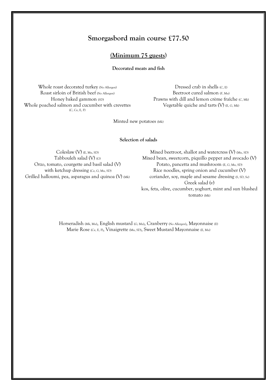## **Smorgasbord main course £77.50**

## **(Minimum 75 guests**)

**Decorated meats and fish**

Whole roast decorated turkey (No Allergen) Roast sirloin of British beef (No Allergen) Honey baked gammon (SD) Whole poached salmon and cucumber with crevettes (C, Ce, E, F)

Dressed crab in shells (C, E) Beetroot cured salmon (F, Mu) Prawns with dill and lemon crème fraîche (C, Mk) Vegetable quiche and tarts (V) (E, G, Mk)

Minted new potatoes (Mk)

**Selection of salads**

Coleslaw (V) (E, Mu, SD) Tabbouleh salad (V) (G) Orzo, tomato, courgette and basil salad (V) with ketchup dressing (Ce, G, Mu, SD) Grilled halloumi, pea, asparagus and quinoa (V) (Mk)

Mixed beetroot, shallot and watercress (V) (Mu, SD) Mixed bean, sweetcorn, piquillo pepper and avocado (V) Potato, pancetta and mushroom (E, G, Mu, SD) Rice noodles, spring onion and cucumber (V) coriander, soy, maple and sesame dressing (S, SD, Se) Greek salad (v) kos, feta, olive, cucumber, yoghurt, mint and sun blushed tomato (Mk)

Horseradish (Mk, Mu), English mustard (G, Mu), Cranberry (No Allergen), Mayonnaise (E) Marie Rose (Ce, E, F), Vinaigrette (Mu, SD), Sweet Mustard Mayonnaise (E, Mu)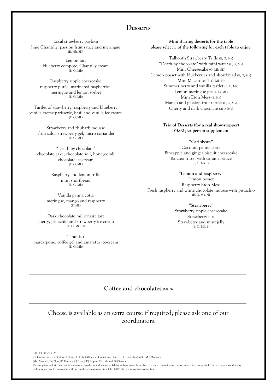## **Desserts**

Local strawberry pavlova lime Chantilly, passion fruit sauce and meringue (E, Mk, SD)

> Lemon tart blueberry compote, Chantilly cream  $(E, G, Mk)$

Raspberry ripple cheesecake raspberry purée, marinated raspberries, meringue and lemon sorbet (E, G, Mk)

Tartlet of strawberry, raspberry and blueberry vanilla crème patisserie, basil and vanilla ice-cream (E, G, Mk)

Strawberry and rhubarb mousse fruit salsa, strawberry gel, micro coriander (E, G, Mk)

"Death by chocolate" chocolate cake, chocolate soil, honeycomb chocolate ice-cream (E, G, Mk)

> Raspberry and lemon trifle mint shortbread (E, G, Mk)

Vanilla panna cotta meringue, mango and raspberry  $(F, Mk)$ 

Dark chocolate millionaire tart cherry, pistachio and strawberry ice-cream (E, G, Mk, N)

Tiramisu mascarpone, coffee gel and amaretto ice-cream (E, G, Mk)

**Mini sharing desserts for the table please select 5 of the following for each table to enjoy;**

Talbooth Strawberry Trifle (E, G, Mk) "Death by chocolate" with mini wafer (E, G, Mk) Mini Cheesecake (G, Mk, SD) Lemon posset with blueberries and shortbread (E, G, Mk) Mini Macarons (E, G, Mk, N) Summer berry and vanilla tartlet (E, G, Mk) Lemon meringue pie (E, G, Mk) Mini Eton Mess (E, Mk) Mango and passion fruit tartlet (E, G, Mk) Cherry and dark chocolate cup (Mk)

> **Trio of Desserts (for a real show-stopper) £3.00 per person supplement**

**"Caribbean"** Coconut panna cotta Pineapple and ginger biscuit cheesecake Banana fritter with caramel sauce (E, G, Mk, S)

**"Lemon and raspberry"** Lemon posset Raspberry Eton Mess Fresh raspberry and white chocolate mousse with pistachio (E, G, Mk, N)

> **"Strawberry"** Strawberry ripple cheesecake Strawberry tart Strawberry and mint jelly (E, G, Mk, S)

## **Coffee and chocolates (Mk, S)**

Cheese is available as an extra course if required; please ask one of our coordinators.

ALLERGENS KEY [C] Crustaceans, [Ce] Celery, [E] Eggs, [F] Fish, [G] Cereals Containing Gluten, [L] Lupin, [Mk] Milk, [Mo] Molluscs,

[Mu] Mustard, [N] Nuts, [P] Peanuts, [S] Soya, [SD] Sulphur Dioxide and [Se] Sesame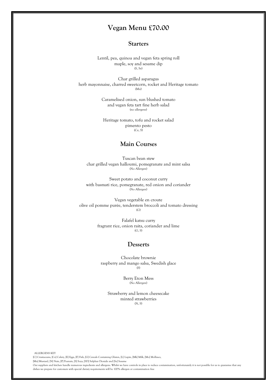## **Vegan Menu £70.00**

### **Starters**

Lentil, pea, quinoa and vegan feta spring roll maple, soy and sesame dip (S, Se)

Char grilled asparagus herb mayonnaise, charred sweetcorn, rocket and Heritage tomato (Mu)

> Caramelised onion, sun blushed tomato and vegan feta tart fine herb salad (no allergens)

Heritage tomato, tofu and rocket salad pimento pesto (Ce, S)

## **Main Courses**

Tuscan bean stew char grilled vegan halloumi, pomegranate and mint salsa (No Allergen)

Sweet potato and coconut curry with basmati rice, pomegranate, red onion and coriander (No Allergen)

Vegan vegetable en croute olive oil pomme purée, tenderstem broccoli and tomato dressing (G)

> Falafel katsu curry fragrant rice, onion raita, coriander and lime (G, S)

## **Desserts**

Chocolate brownie raspberry and mango salsa, Swedish glace  $(S)$ 

> Berry Eton Mess (No Allergen)

Strawberry and lemon cheesecake minted strawberries (N, S)

ALLERGENS KEY [C] Crustaceans, [Ce] Celery, [E] Eggs, [F] Fish, [G] Cereals Containing Gluten, [L] Lupin, [Mk] Milk, [Mo] Molluscs, [Mu] Mustard, [N] Nuts, [P] Peanuts, [S] Soya, [SD] Sulphur Dioxide and [Se] Sesame Our suppliers and kitchen handle numerous ingredients and allergens. Whilst we have controls in place to reduce contamination, unfortunately it is not possible for us to guarantee that any dishes we prepare for customers with special dietary requirements will be 100% allergen or contamination free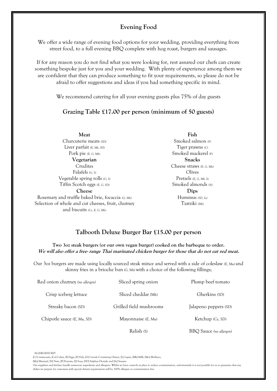## **Evening Food**

We offer a wide range of evening food options for your wedding, providing everything from street food, to a full evening BBQ complete with hog roast, burgers and sausages.

If for any reason you do not find what you were looking for, rest assured our chefs can create something bespoke just for you and your wedding. With plenty of experience among them we are confident that they can produce something to fit your requirements, so please do not be afraid to offer suggestions and ideas if you had something specific in mind.

We recommend catering for all your evening guests plus 75% of day guests

#### **Grazing Table £17.00 per person (minimum of 50 guests)**

**Meat** Charcuterie meats *(SD)* Liver parfait *(E, Mk, SD)* Pork pie *(E, G, Mk)*

**Vegetarian Crudites** Falafels *(G, S)* Vegetable spring rolls *(G, S)* Tiffin Scotch eggs *(E, G, SD)*

#### **Cheese**

Rosemary and truffle baked brie, focaccia *(G, Mk)* Selection of whole and cut cheeses, fruit, chutney and biscuits *(Ce, E, G, Mk)*

**Fish** Smoked salmon *(F)* Tiger prawns *(C)* Smoked mackerel *(F)* **Snacks**  Cheese straws *(E, G, Mk)* Olives Pretzels *(E, G, Mk, S)* Smoked almonds *(N)* **Dips** Hummus *(SD, Se)* Tzatziki *(Mk)*

## **Talbooth Deluxe Burger Bar £15.00 per person**

**Two 3oz steak burgers (or our own vegan burger) cooked on the barbeque to order. We will also offer a free- range Thai marinated chicken burger for those that do not eat red meat.**

Our 3oz burgers are made using locally sourced steak mince and served with a side of coleslaw *(E, Mu)* and skinny fries in a brioche bun *(G, Mk)* with a choice of the following fillings;

| Red onion chutney (no allergen) | Sliced spring onion     | Plump beef tomato       |
|---------------------------------|-------------------------|-------------------------|
| Crisp iceberg lettuce           | Sliced cheddar (Mk)     | Gherkins (SD)           |
| Streaky bacon (SD)              | Grilled field mushrooms | Jalapeno peppers (SD)   |
| Chipotle sauce $(E, Mu, SD)$    | Mayonnaise $(E, Mu)$    | Ketchup (Ce, SD)        |
|                                 | Relish (S)              | BBQ Sauce (no allergen) |

ALLERGENS KEY

[C] Crustaceans, [Ce] Celery, [E] Eggs, [F] Fish, [G] Cereals Containing Gluten, [L] Lupin, [Mk] Milk, [Mo] Molluscs,

[Mu] Mustard, [N] Nuts, [P] Peanuts, [S] Soya, [SD] Sulphur Dioxide and [Se] Sesame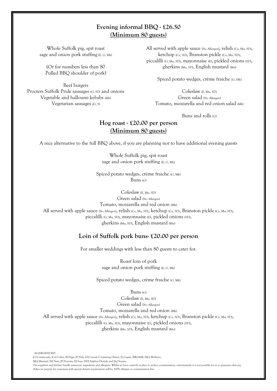## **Evening informal BBQ - £26.50 (Minimum 80 guests)**

Whole Suffolk pig, spit roast sage and onion pork stuffing (E, G, Mk)

(Or for numbers less than 80 Pulled BBQ shoulder of pork)

Beef burgers Procters Suffolk Pride sausages (G, SD) and onions Vegetable and halloumi kebabs (Mk) Vegetarian sausages (G, S)

All served with apple sauce (No Allergen), relish (Ce, Mu, SD), ketchup (Ce, SD), Branston pickle (Ce, Mu, SD), piccalilli (G, Mu, SD), mayonnaise (E), pickled onions (SD), gherkins (Mu, SD), English mustard (Mu)

Spiced potato wedges, crème fraiche (G, Mk)

Coleslaw (E, Mu, SD) Green salad (No Allergen) Tomato, mozzarella and red onion salad (Mk)

Buns and rolls (G)

## **Hog roast - £20.00 per person (Minimum 80 guests)**

A nice alternative to the full BBQ above, if you are planning not to have additional evening guests

Whole Suffolk pig, spit roast sage and onion pork stuffing (E, G, Mk)

Spiced potato wedges, crème fraiche (G, Mk) Buns (G)

Coleslaw (E, Mu, SD) Green salad (No Allergen) Tomato, mozzarella and red onion (Mk) All served with apple sauce (No Allergen), relish (Ce, Mu, SD), ketchup (Ce, SD), Branston pickle (Ce, Mu, SD), piccalilli (G, Mu, SD), mayonnaise (E), pickled onions (SD), gherkins (Mu, SD), English mustard (Mu)

## **Loin of Suffolk pork buns- £20.00 per person**

For smaller weddings with less than 80 guests to cater for.

Roast loin of pork sage and onion pork stuffing (E, G, Mk)

Spiced potato wedges, crème fraiche (G, Mk)

Buns (G)

Coleslaw (E, Mu, SD) Green salad (No Allergen) Tomato, mozzarella and red onion (Mk) All served with apple sauce (No Allergen), relish (Ce, Mu, SD), ketchup (Ce, SD), Branston pickle (Ce, Mu, SD), piccalilli (G, Mu, SD), mayonnaise (E), pickled onions (SD), gherkins (Mu, SD), English mustard (Mu)

ALLERGENS KEY

[C] Crustaceans, [Ce] Celery, [E] Eggs, [F] Fish, [G] Cereals Containing Gluten, [L] Lupin, [Mk] Milk, [Mo] Molluscs, [Mu] Mustard, [N] Nuts, [P] Peanuts, [S] Soya, [SD] Sulphur Dioxide and [Se] Sesame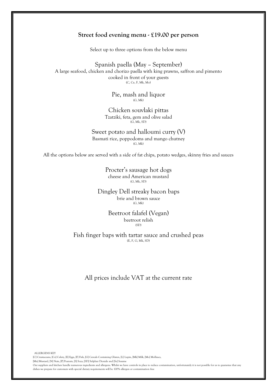## **Street food evening menu - £19.00 per person**

Select up to three options from the below menu

Spanish paella (May – September) A large seafood, chicken and chorizo paella with king prawns, saffron and pimento cooked in front of your guests (C, Ce, F, Mk, Mo)

> Pie, mash and liquor (G, Mk)

Chicken souvlaki pittas Tzatziki, feta, gem and olive salad  $(G, Mk, SD)$ 

Sweet potato and halloumi curry (V) Basmati rice, poppodoms and mango chutney (G, Mk)

All the options below are served with a side of fat chips, potato wedges, skinny fries and sauces

Procter's sausage hot dogs cheese and American mustard (G, Mk, SD)

Dingley Dell streaky bacon baps brie and brown sauce  $(G, Mk)$ 

> Beetroot falafel (Vegan) beetroot relish  $(SD)$

Fish finger baps with tartar sauce and crushed peas (E, F, G, Mk, SD)

All prices include VAT at the current rate

ALLERGENS KEY [C] Crustaceans, [Ce] Celery, [E] Eggs, [F] Fish, [G] Cereals Containing Gluten, [L] Lupin, [Mk] Milk, [Mo] Molluscs, [Mu] Mustard, [N] Nuts, [P] Peanuts, [S] Soya, [SD] Sulphur Dioxide and [Se] Sesame Our suppliers and kitchen handle numerous ingredients and allergens. Whilst we have controls in place to reduce contamination, unfortunately it is not possible for us to guarantee that any dishes we prepare for customers with special dietary requirements will be 100% allergen or contamination free